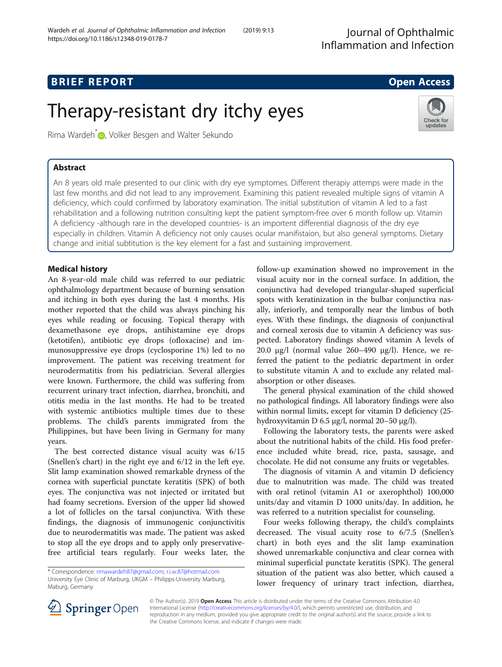Journal of Ophthalmic Inflammation and Infection

# **BRIEF REPORT CONSUMING THE EXAMPLE ACCESS**

Check for updates

# Therapy-resistant dry itchy eyes

Rima Wardeh<sup>\*</sup> **D**[,](http://orcid.org/0000-0002-0524-0009) Volker Besgen and Walter Sekundo

# Abstract

An 8 years old male presented to our clinic with dry eye symptomes. Different therapiy attemps were made in the last few months and did not lead to any improvement. Examining this patient revealed multiple signs of vitamin A deficiency, which could confirmed by laboratory examination. The initial substitution of vitamin A led to a fast rehabilitation and a following nutrition consulting kept the patient symptom-free over 6 month follow up. Vitamin A deficiency -although rare in the developed countries- is an importent differential diagnosis of the dry eye especially in children. Vitamin A deficiency not only causes ocular manifistaion, but also general symptoms. Dietary change and initial subtitution is the key element for a fast and sustaining improvement.

# Medical history

An 8-year-old male child was referred to our pediatric ophthalmology department because of burning sensation and itching in both eyes during the last 4 months. His mother reported that the child was always pinching his eyes while reading or focusing. Topical therapy with dexamethasone eye drops, antihistamine eye drops (ketotifen), antibiotic eye drops (ofloxacine) and immunosuppressive eye drops (cyclosporine 1%) led to no improvement. The patient was receiving treatment for neurodermatitis from his pediatrician. Several allergies were known. Furthermore, the child was suffering from recurrent urinary tract infection, diarrhea, bronchiti, and otitis media in the last months. He had to be treated with systemic antibiotics multiple times due to these problems. The child's parents immigrated from the Philippines, but have been living in Germany for many years.

The best corrected distance visual acuity was 6/15 (Snellen's chart) in the right eye and 6/12 in the left eye. Slit lamp examination showed remarkable dryness of the cornea with superficial punctate keratitis (SPK) of both eyes. The conjunctiva was not injected or irritated but had foamy secretions. Eversion of the upper lid showed a lot of follicles on the tarsal conjunctiva. With these findings, the diagnosis of immunogenic conjunctivitis due to neurodermatitis was made. The patient was asked to stop all the eye drops and to apply only preservativefree artificial tears regularly. Four weeks later, the

follow-up examination showed no improvement in the visual acuity nor in the corneal surface. In addition, the conjunctiva had developed triangular-shaped superficial spots with keratinization in the bulbar conjunctiva nasally, inferiorly, and temporally near the limbus of both eyes. With these findings, the diagnosis of conjunctival and corneal xerosis due to vitamin A deficiency was suspected. Laboratory findings showed vitamin A levels of 20.0 μg/l (normal value 260–490 μg/l). Hence, we referred the patient to the pediatric department in order to substitute vitamin A and to exclude any related malabsorption or other diseases.

The general physical examination of the child showed no pathological findings. All laboratory findings were also within normal limits, except for vitamin D deficiency (25 hydroxyvitamin D 6.5 μg/l, normal 20–50 μg/l).

Following the laboratory tests, the parents were asked about the nutritional habits of the child. His food preference included white bread, rice, pasta, sausage, and chocolate. He did not consume any fruits or vegetables.

The diagnosis of vitamin A and vitamin D deficiency due to malnutrition was made. The child was treated with oral retinol (vitamin A1 or axerophthol) 100,000 units/day and vitamin D 1000 units/day. In addition, he was referred to a nutrition specialist for counseling.

Four weeks following therapy, the child's complaints decreased. The visual acuity rose to 6/7.5 (Snellen's chart) in both eyes and the slit lamp examination showed unremarkable conjunctiva and clear cornea with minimal superficial punctate keratitis (SPK). The general situation of the patient was also better, which caused a lower frequency of urinary tract infection, diarrhea,



© The Author(s). 2019 Open Access This article is distributed under the terms of the Creative Commons Attribution 4.0 International License ([http://creativecommons.org/licenses/by/4.0/\)](http://creativecommons.org/licenses/by/4.0/), which permits unrestricted use, distribution, and reproduction in any medium, provided you give appropriate credit to the original author(s) and the source, provide a link to the Creative Commons license, and indicate if changes were made.

<sup>\*</sup> Correspondence: [rimawardeh87@gmail.com](mailto:rimawardeh87@gmail.com); [r.i.w.87@hotmail.com](mailto:r.i.w.87@hotmail.com) University Eye Clinic of Marburg, UKGM – Philipps-University Marburg, Maburg, Germany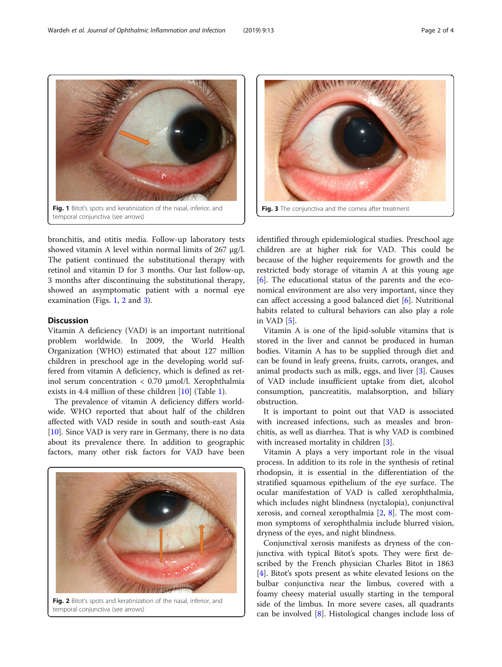bronchitis, and otitis media. Follow-up laboratory tests showed vitamin A level within normal limits of 267 μg/l. The patient continued the substitutional therapy with retinol and vitamin D for 3 months. Our last follow-up, 3 months after discontinuing the substitutional therapy, showed an asymptomatic patient with a normal eye examination (Figs. 1, 2 and 3).

### **Discussion**

Vitamin A deficiency (VAD) is an important nutritional problem worldwide. In 2009, the World Health Organization (WHO) estimated that about 127 million children in preschool age in the developing world suffered from vitamin A deficiency, which is defined as retinol serum concentration < 0.70 μmol/l. Xerophthalmia exists in 4.4 million of these children [[10](#page-3-0)] (Table [1\)](#page-2-0).

The prevalence of vitamin A deficiency differs worldwide. WHO reported that about half of the children affected with VAD reside in south and south-east Asia [[10\]](#page-3-0). Since VAD is very rare in Germany, there is no data about its prevalence there. In addition to geographic factors, many other risk factors for VAD have been

Fig. 2 Bitot's spots and keratinization of the nasal, inferior, and temporal conjunctiva (see arrows)

identified through epidemiological studies. Preschool age children are at higher risk for VAD. This could be because of the higher requirements for growth and the restricted body storage of vitamin A at this young age [[6\]](#page-2-0). The educational status of the parents and the economical environment are also very important, since they can affect accessing a good balanced diet [[6\]](#page-2-0). Nutritional habits related to cultural behaviors can also play a role in VAD [[5\]](#page-2-0).

Vitamin A is one of the lipid-soluble vitamins that is stored in the liver and cannot be produced in human bodies. Vitamin A has to be supplied through diet and can be found in leafy greens, fruits, carrots, oranges, and animal products such as milk, eggs, and liver  $[3]$  $[3]$ . Causes of VAD include insufficient uptake from diet, alcohol consumption, pancreatitis, malabsorption, and biliary obstruction.

It is important to point out that VAD is associated with increased infections, such as measles and bronchitis, as well as diarrhea. That is why VAD is combined with increased mortality in children [[3\]](#page-2-0).

Vitamin A plays a very important role in the visual process. In addition to its role in the synthesis of retinal rhodopsin, it is essential in the differentiation of the stratified squamous epithelium of the eye surface. The ocular manifestation of VAD is called xerophthalmia, which includes night blindness (nyctalopia), conjunctival xerosis, and corneal xeropthalmia [\[2](#page-2-0), [8\]](#page-2-0). The most common symptoms of xerophthalmia include blurred vision, dryness of the eyes, and night blindness.

Conjunctival xerosis manifests as dryness of the conjunctiva with typical Bitot's spots. They were first described by the French physician Charles Bitot in 1863 [[4\]](#page-2-0). Bitot's spots present as white elevated lesions on the bulbar conjunctiva near the limbus, covered with a foamy cheesy material usually starting in the temporal side of the limbus. In more severe cases, all quadrants can be involved [[8](#page-2-0)]. Histological changes include loss of

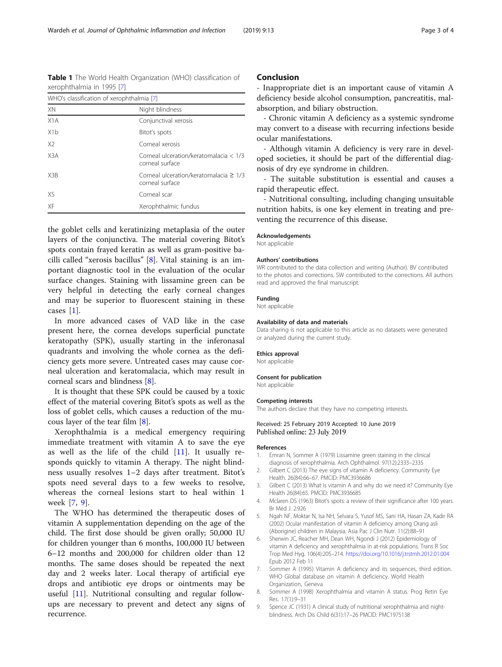the goblet cells and keratinizing metaplasia of the outer layers of the conjunctiva. The material covering Bitot's spots contain frayed keratin as well as gram-positive bacilli called "xerosis bacillus" [8]. Vital staining is an important diagnostic tool in the evaluation of the ocular surface changes. Staining with lissamine green can be very helpful in detecting the early corneal changes and may be superior to fluorescent staining in these cases [1].

In more advanced cases of VAD like in the case present here, the cornea develops superficial punctate keratopathy (SPK), usually starting in the inferonasal quadrants and involving the whole cornea as the deficiency gets more severe. Untreated cases may cause corneal ulceration and keratomalacia, which may result in corneal scars and blindness [8].

It is thought that these SPK could be caused by a toxic effect of the material covering Bitot's spots as well as the loss of goblet cells, which causes a reduction of the mucous layer of the tear film [8].

Xerophthalmia is a medical emergency requiring immediate treatment with vitamin A to save the eye as well as the life of the child  $[11]$  $[11]$ . It usually responds quickly to vitamin A therapy. The night blindness usually resolves 1–2 days after treatment. Bitot's spots need several days to a few weeks to resolve, whereas the corneal lesions start to heal within 1 week [7, 9].

The WHO has determined the therapeutic doses of vitamin A supplementation depending on the age of the child. The first dose should be given orally; 50,000 IU for children younger than 6 months, 100,000 IU between 6–12 months and 200,000 for children older than 12 months. The same doses should be repeated the next day and 2 weeks later. Local therapy of artificial eye drops and antibiotic eye drops or ointments may be useful [\[11](#page-3-0)]. Nutritional consulting and regular followups are necessary to prevent and detect any signs of recurrence.

### Conclusion

- Inappropriate diet is an important cause of vitamin A deficiency beside alcohol consumption, pancreatitis, malabsorption, and biliary obstruction.

- Chronic vitamin A deficiency as a systemic syndrome may convert to a disease with recurring infections beside ocular manifestations.

- Although vitamin A deficiency is very rare in developed societies, it should be part of the differential diagnosis of dry eye syndrome in children.

- The suitable substitution is essential and causes a rapid therapeutic effect.

- Nutritional consulting, including changing unsuitable nutrition habits, is one key element in treating and preventing the recurrence of this disease.

#### Acknowledgements

Not applicable

#### Authors' contributions

WR contributed to the data collection and writing (Author). BV contributed to the photos and corrections. SW contributed to the corrections. All authors read and approved the final manuscript.

#### Funding

Not applicable

#### Availability of data and materials

Data sharing is not applicable to this article as no datasets were generated or analyzed during the current study.

#### Ethics approval

Not applicable

#### Consent for publication

Not applicable

#### Competing interests

The authors declare that they have no competing interests.

#### Received: 25 February 2019 Accepted: 10 June 2019 Published online: 23 July 2019

#### References

- 1. Emran N, Sommer A (1979) Lissamine green staining in the clinical diagnosis of xerophthalmia. Arch Ophthalmol. 97(12):2333–2335
- 2. Gilbert C (2013) The eye signs of vitamin A deficiency. Community Eye Health. 26(84):66–67. PMCID: PMC3936686
- 3. Gilbert C (2013) What is vitamin A and why do we need it? Community Eye Health 26(84):65. PMCID: PMC3936685
- 4. Mclaren DS (1963) Bitot's spots: a review of their significance after 100 years. Br Med J. 2:926
- 5. Ngah NF, Moktar N, Isa NH, Selvara S, Yusof MS, Sani HA, Hasan ZA, Kadir RA (2002) Ocular manifestation of vitamin A deficiency among Orang asli (Aborigine) children in Malaysia. Asia Pac J Clin Nutr. 11(2):88–91
- 6. Sherwin JC, Reacher MH, Dean WH, Ngondi J (2012) Epidemiology of vitamin A deficiency and xerophthalmia in at-risk populations. Trans R Soc Trop Med Hyg. 106(4):205–214. <https://doi.org/10.1016/j.trstmh.2012.01.004> Epub 2012 Feb 11
- 7. Sommer A (1995) Vitamin A deficiency and its sequences, third edition. WHO Global database on vitamin A deficiency. World Health Organization, Geneva
- 8. Sommer A (1998) Xerophthalmia and vitamin A status. Prog Retin Eye Res. 17(1):9–31
- 9. Spence JC (1931) A clinical study of nutritional xerophthalmia and nightblindness. Arch Dis Child 6(31):17–26 PMCID: PMC1975138

<span id="page-2-0"></span>

| WHO's classification of xerophthalmia [7] |                                                                |
|-------------------------------------------|----------------------------------------------------------------|
| XN                                        | Night blindness                                                |
| X1A                                       | Conjunctival xerosis                                           |
| X <sub>1</sub> b                          | Bitot's spots                                                  |
| X <sub>2</sub>                            | Corneal xerosis                                                |
| X <sub>3</sub> A                          | Corneal ulceration/keratomalacia < 1/3<br>corneal surface      |
| X <sub>3</sub> R                          | Corneal ulceration/keratomalacia $\geq 1/3$<br>corneal surface |
| XS                                        | Corneal scar                                                   |
| XF                                        | Xerophthalmic fundus                                           |